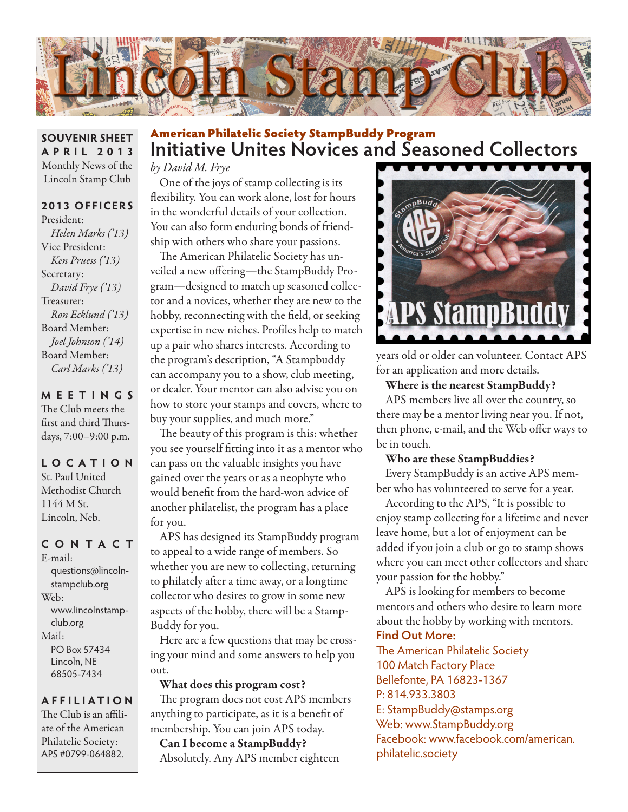

**SOUVENIR SHEET APRIL 2013** Monthly News of the Lincoln Stamp Club

## **2013 OFFICERS**

President: *Helen Marks ('13)* Vice President: *Ken Pruess ('13)* Secretary: *David Frye ('13)* Treasurer: *Ron Ecklund ('13)* Board Member: *Joel Johnson ('14)* Board Member: *Carl Marks ('13)*

## **MEETINGS** The Club meets the first and third Thursdays, 7:00–9:00 p.m.

**LO C ATI O N** St. Paul United Methodist Church 1144 M St. Lincoln, Neb.

## **CONTACT**

E-mail: questions@lincolnstampclub.org Web: www.lincolnstampclub.org Mail: PO Box 57434 Lincoln, NE 68505-7434

## **AFFI LIATI O N**

The Club is an affiliate of the American Philatelic Society: APS #0799-064882.

# **Initiative Unites Novices and Seasoned Collectors**  American Philatelic Society StampBuddy Program

*by David M. Frye*

One of the joys of stamp collecting is its flexibility. You can work alone, lost for hours in the wonderful details of your collection. You can also form enduring bonds of friendship with others who share your passions.

The American Philatelic Society has unveiled a new offering—the StampBuddy Program—designed to match up seasoned collector and a novices, whether they are new to the hobby, reconnecting with the field, or seeking expertise in new niches. Profiles help to match up a pair who shares interests. According to the program's description, "A Stampbuddy can accompany you to a show, club meeting, or dealer. Your mentor can also advise you on how to store your stamps and covers, where to buy your supplies, and much more."

The beauty of this program is this: whether you see yourself fitting into it as a mentor who can pass on the valuable insights you have gained over the years or as a neophyte who would benefit from the hard-won advice of another philatelist, the program has a place for you.

APS has designed its StampBuddy program to appeal to a wide range of members. So whether you are new to collecting, returning to philately after a time away, or a longtime collector who desires to grow in some new aspects of the hobby, there will be a Stamp-Buddy for you.

Here are a few questions that may be crossing your mind and some answers to help you out.

## What does this program cost?

The program does not cost APS members anything to participate, as it is a benefit of membership. You can join APS today. Can I become a StampBuddy? Absolutely. Any APS member eighteen



years old or older can volunteer. Contact APS for an application and more details.

## Where is the nearest StampBuddy?

APS members live all over the country, so there may be a mentor living near you. If not, then phone, e-mail, and the Web offer ways to be in touch.

## Who are these StampBuddies?

Every StampBuddy is an active APS member who has volunteered to serve for a year.

According to the APS, "It is possible to enjoy stamp collecting for a lifetime and never leave home, but a lot of enjoyment can be added if you join a club or go to stamp shows where you can meet other collectors and share your passion for the hobby."

APS is looking for members to become mentors and others who desire to learn more about the hobby by working with mentors.

## **Find Out More:**

The American Philatelic Society 100 Match Factory Place Bellefonte, PA 16823-1367 P: 814.933.3803 E: StampBuddy@stamps.org Web: www.StampBuddy.org Facebook: www.facebook.com/american. philatelic.society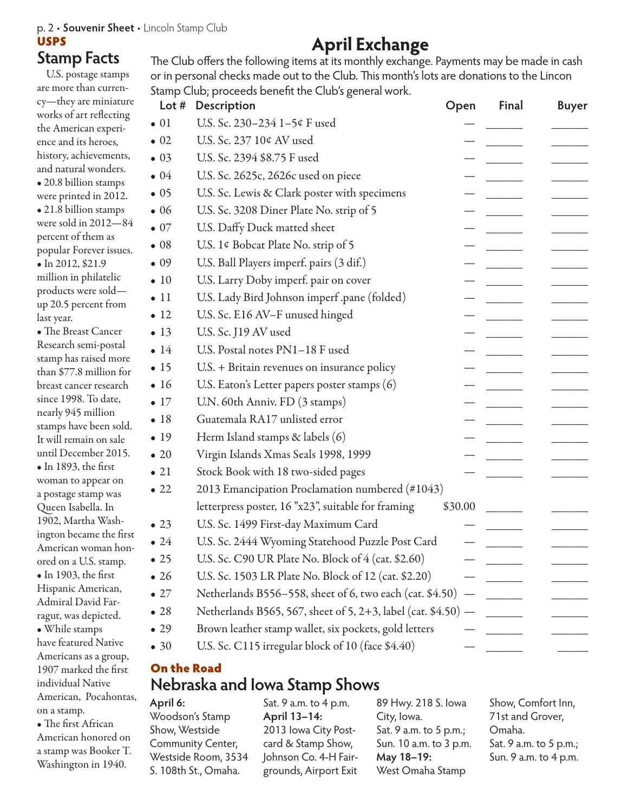## p. 2 • **Souvenir Sheet** • Lincoln Stamp Club

## USPS

## **Stamp Facts**

U.S. postage stamps are more than currency—they are miniature works of art reflecting the American experience and its heroes, history, achievements, and natural wonders. • 20.8 billion stamps were printed in 2012. • 21.8 billion stamps were sold in 2012—84 percent of them as popular Forever issues. • In 2012, \$21.9 million in philatelic products were sold up 20.5 percent from last year. • The Breast Cancer Research semi-postal stamp has raised more than \$77.8 million for breast cancer research since 1998. To date, nearly 945 million stamps have been sold. It will remain on sale

until December 2015. • In 1893, the first woman to appear on a postage stamp was Queen Isabella. In 1902, Martha Washington became the first American woman honored on a U.S. stamp. • In 1903, the first Hispanic American, Admiral David Farragut, was depicted. • While stamps have featured Native Americans as a group, 1907 marked the first individual Native American, Pocahontas, on a stamp.

• The first African American honored on a stamp was Booker T. Washington in 1940.

# **April Exchange**

The Club offers the following items at its monthly exchange. Payments may be made in cash or in personal checks made out to the Club. This month's lots are donations to the Lincon Stamp Club; proceeds benefit the Club's general work.

| Lot $#$      | Description                                                   | Open    | <b>Final</b> | <b>Buyer</b> |
|--------------|---------------------------------------------------------------|---------|--------------|--------------|
| $\bullet$ 01 | U.S. Sc. 230-234 1-5¢ F used                                  |         |              |              |
| $\bullet$ 02 | U.S. Sc. 237 10¢ AV used                                      |         |              |              |
| $\bullet$ 03 | U.S. Sc. 2394 \$8.75 F used                                   |         |              |              |
| $\bullet$ 04 | U.S. Sc. 2625c, 2626c used on piece                           |         |              |              |
| $\bullet$ 05 | U.S. Sc. Lewis & Clark poster with specimens                  |         |              |              |
| $\bullet$ 06 | U.S. Sc. 3208 Diner Plate No. strip of 5                      |         |              |              |
| $\bullet$ 07 | U.S. Daffy Duck matted sheet                                  |         |              |              |
| $\bullet$ 08 | U.S. 1¢ Bobcat Plate No. strip of 5                           |         |              |              |
| $\bullet$ 09 | U.S. Ball Players imperf. pairs (3 dif.)                      |         |              |              |
| $\bullet$ 10 | U.S. Larry Doby imperf. pair on cover                         |         |              |              |
| $\bullet$ 11 | U.S. Lady Bird Johnson imperf .pane (folded)                  |         |              |              |
| $\bullet$ 12 | U.S. Sc. E16 AV-F unused hinged                               |         |              |              |
| $\bullet$ 13 | U.S. Sc. J19 AV used                                          |         |              |              |
| $\bullet$ 14 | U.S. Postal notes PN1-18 F used                               |         |              |              |
| $\bullet$ 15 | U.S. + Britain revenues on insurance policy                   |         |              |              |
| $\bullet$ 16 | U.S. Eaton's Letter papers poster stamps (6)                  |         |              |              |
| $\bullet$ 17 | U.N. 60th Anniv. FD (3 stamps)                                |         |              |              |
| • 18         | Guatemala RA17 unlisted error                                 |         |              |              |
| $\bullet$ 19 | Herm Island stamps & labels (6)                               |         |              |              |
| $\bullet$ 20 | Virgin Islands Xmas Seals 1998, 1999                          |         |              |              |
| $\bullet$ 21 | Stock Book with 18 two-sided pages                            |         |              |              |
| $\bullet$ 22 | 2013 Emancipation Proclamation numbered (#1043)               |         |              |              |
|              | letterpress poster, 16 "x23", suitable for framing            | \$30.00 |              |              |
| $\bullet$ 23 | U.S. Sc. 1499 First-day Maximum Card                          |         |              |              |
| $\bullet$ 24 | U.S. Sc. 2444 Wyoming Statehood Puzzle Post Card              |         |              |              |
| $\bullet$ 25 | U.S. Sc. C90 UR Plate No. Block of 4 (cat. \$2.60)            |         |              |              |
| $\bullet$ 26 | U.S. Sc. 1503 LR Plate No. Block of 12 (cat. \$2.20)          |         |              |              |
| $\bullet$ 27 | Netherlands B556-558, sheet of 6, two each (cat. \$4.50)      |         |              |              |
| $\bullet$ 28 | Netherlands B565, 567, sheet of 5, 2+3, label (cat. \$4.50) - |         |              |              |
| $\bullet$ 29 | Brown leather stamp wallet, six pockets, gold letters         |         |              |              |
| $\bullet$ 30 | U.S. Sc. C115 irregular block of 10 (face \$4.40)             |         |              |              |
|              |                                                               |         |              |              |

## **Nebraska and Iowa Stamp Shows** On the Road

## **April 6:**

| April 6:             | Sat. 9 a.m. to 4 p.m. | 89 Hwy. 218 S. Iowa    | S   |
|----------------------|-----------------------|------------------------|-----|
| Woodson's Stamp      | April 13-14:          | City, Iowa.            | 7   |
| Show, Westside       | 2013 Iowa City Post-  | Sat. 9 a.m. to 5 p.m.; | C   |
| Community Center,    | card & Stamp Show,    | Sun. 10 a.m. to 3 p.m. | -S. |
| Westside Room, 3534  | Johnson Co. 4-H Fair- | May 18-19:             | S   |
| S. 108th St., Omaha. | grounds, Airport Exit | West Omaha Stamp       |     |

Show, Comfort Inn, 1st and Grover, Omaha. at. 9 a.m. to 5 p.m.; un. 9 a.m. to 4 p.m.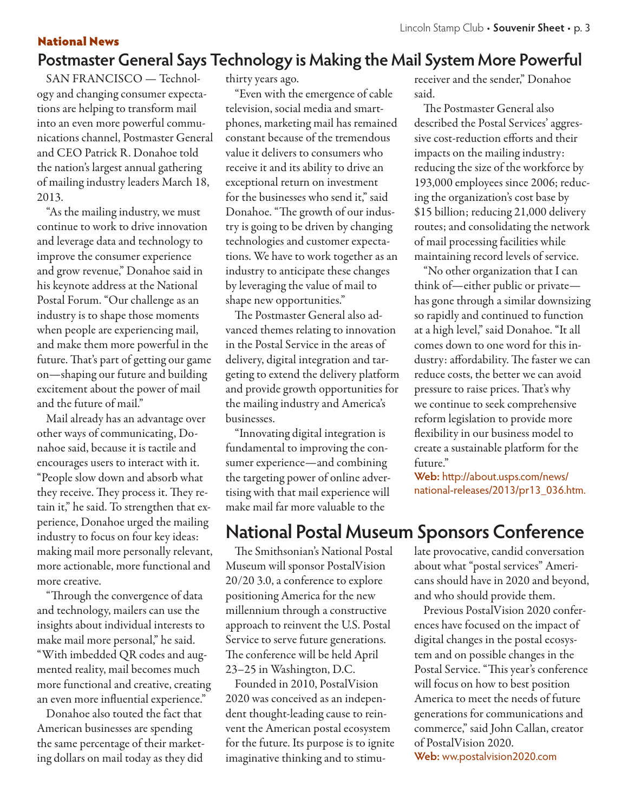# **Postmaster General Says Technology is Making the Mail System More Powerful**

SAN FRANCISCO — Technology and changing consumer expectations are helping to transform mail into an even more powerful communications channel, Postmaster General and CEO Patrick R. Donahoe told the nation's largest annual gathering of mailing industry leaders March 18, 2013.

National News

"As the mailing industry, we must continue to work to drive innovation and leverage data and technology to improve the consumer experience and grow revenue," Donahoe said in his keynote address at the National Postal Forum. "Our challenge as an industry is to shape those moments when people are experiencing mail, and make them more powerful in the future. That's part of getting our game on—shaping our future and building excitement about the power of mail and the future of mail."

Mail already has an advantage over other ways of communicating, Donahoe said, because it is tactile and encourages users to interact with it. "People slow down and absorb what they receive. They process it. They retain it," he said. To strengthen that experience, Donahoe urged the mailing industry to focus on four key ideas: making mail more personally relevant, more actionable, more functional and more creative.

"Through the convergence of data and technology, mailers can use the insights about individual interests to make mail more personal," he said. "With imbedded QR codes and augmented reality, mail becomes much more functional and creative, creating an even more influential experience."

Donahoe also touted the fact that American businesses are spending the same percentage of their marketing dollars on mail today as they did

thirty years ago.

"Even with the emergence of cable television, social media and smartphones, marketing mail has remained constant because of the tremendous value it delivers to consumers who receive it and its ability to drive an exceptional return on investment for the businesses who send it," said Donahoe. "The growth of our industry is going to be driven by changing technologies and customer expectations. We have to work together as an industry to anticipate these changes by leveraging the value of mail to shape new opportunities."

The Postmaster General also advanced themes relating to innovation in the Postal Service in the areas of delivery, digital integration and targeting to extend the delivery platform and provide growth opportunities for the mailing industry and America's businesses.

"Innovating digital integration is fundamental to improving the consumer experience—and combining the targeting power of online advertising with that mail experience will make mail far more valuable to the

receiver and the sender," Donahoe said.

The Postmaster General also described the Postal Services' aggressive cost-reduction efforts and their impacts on the mailing industry: reducing the size of the workforce by 193,000 employees since 2006; reducing the organization's cost base by \$15 billion; reducing 21,000 delivery routes; and consolidating the network of mail processing facilities while maintaining record levels of service.

"No other organization that I can think of—either public or private has gone through a similar downsizing so rapidly and continued to function at a high level," said Donahoe. "It all comes down to one word for this industry: affordability. The faster we can reduce costs, the better we can avoid pressure to raise prices. That's why we continue to seek comprehensive reform legislation to provide more flexibility in our business model to create a sustainable platform for the future."

**Web:** http://about.usps.com/news/ national-releases/2013/pr13\_036.htm.

# **National Postal Museum Sponsors Conference**

The Smithsonian's National Postal Museum will sponsor PostalVision 20/20 3.0, a conference to explore positioning America for the new millennium through a constructive approach to reinvent the U.S. Postal Service to serve future generations. The conference will be held April 23–25 in Washington, D.C.

Founded in 2010, PostalVision 2020 was conceived as an independent thought-leading cause to reinvent the American postal ecosystem for the future. Its purpose is to ignite imaginative thinking and to stimulate provocative, candid conversation about what "postal services" Americans should have in 2020 and beyond, and who should provide them.

Previous PostalVision 2020 conferences have focused on the impact of digital changes in the postal ecosystem and on possible changes in the Postal Service. "This year's conference will focus on how to best position America to meet the needs of future generations for communications and commerce," said John Callan, creator of PostalVision 2020. **Web:** ww.postalvision2020.com